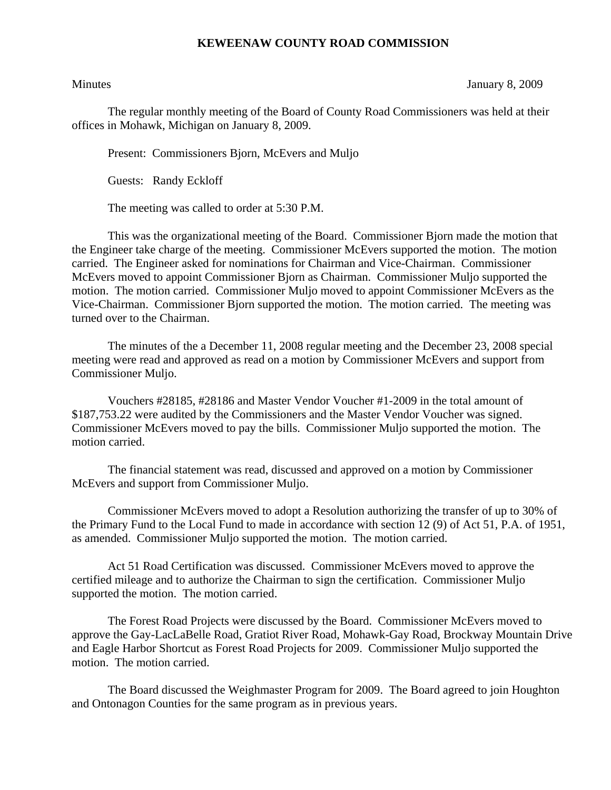## **KEWEENAW COUNTY ROAD COMMISSION**

Minutes January 8, 2009

The regular monthly meeting of the Board of County Road Commissioners was held at their offices in Mohawk, Michigan on January 8, 2009.

Present: Commissioners Bjorn, McEvers and Muljo

Guests: Randy Eckloff

The meeting was called to order at 5:30 P.M.

This was the organizational meeting of the Board. Commissioner Bjorn made the motion that the Engineer take charge of the meeting. Commissioner McEvers supported the motion. The motion carried. The Engineer asked for nominations for Chairman and Vice-Chairman. Commissioner McEvers moved to appoint Commissioner Bjorn as Chairman. Commissioner Muljo supported the motion. The motion carried. Commissioner Muljo moved to appoint Commissioner McEvers as the Vice-Chairman. Commissioner Bjorn supported the motion. The motion carried. The meeting was turned over to the Chairman.

 The minutes of the a December 11, 2008 regular meeting and the December 23, 2008 special meeting were read and approved as read on a motion by Commissioner McEvers and support from Commissioner Muljo.

 Vouchers #28185, #28186 and Master Vendor Voucher #1-2009 in the total amount of \$187,753.22 were audited by the Commissioners and the Master Vendor Voucher was signed. Commissioner McEvers moved to pay the bills. Commissioner Muljo supported the motion. The motion carried.

 The financial statement was read, discussed and approved on a motion by Commissioner McEvers and support from Commissioner Muljo.

Commissioner McEvers moved to adopt a Resolution authorizing the transfer of up to 30% of the Primary Fund to the Local Fund to made in accordance with section 12 (9) of Act 51, P.A. of 1951, as amended. Commissioner Muljo supported the motion. The motion carried.

Act 51 Road Certification was discussed. Commissioner McEvers moved to approve the certified mileage and to authorize the Chairman to sign the certification. Commissioner Muljo supported the motion. The motion carried.

The Forest Road Projects were discussed by the Board. Commissioner McEvers moved to approve the Gay-LacLaBelle Road, Gratiot River Road, Mohawk-Gay Road, Brockway Mountain Drive and Eagle Harbor Shortcut as Forest Road Projects for 2009. Commissioner Muljo supported the motion. The motion carried.

The Board discussed the Weighmaster Program for 2009. The Board agreed to join Houghton and Ontonagon Counties for the same program as in previous years.